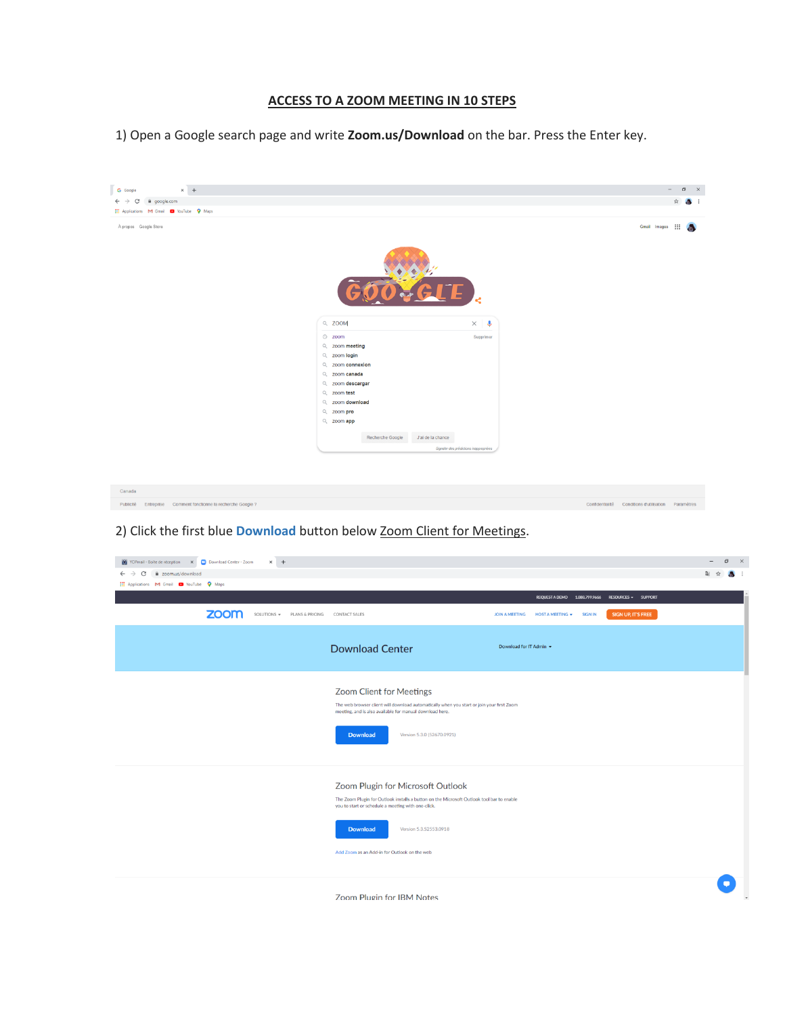## **ACCESS TO A ZOOM MEETING IN 10 STEPS**

1) Open a Google search page and write **Zoom.us/Download** on the bar. Press the Enter key.



## 2) Click the first blue **Download** button below Zoom Client for Meetings.

| Y YOPmail - Boite de réception X Download Center - Zoom<br>$\times$ +<br>a zoom.us/download<br>C<br>$\leftarrow$<br><b>EL Applications M Gmail Co YouTube Q Maps</b><br>zoom<br>SOLUTIONS = PLANS & PRICING | CONTACT SALES                                                                                                                                                                                                                                                                     | REQUESTA DEMO 1.888.799.9666 RESOURCES - SUPPORT<br><b>SIGN UP, IT'S FREE</b><br><b>JOIN A MEETING</b><br><b>HOST A MEETING +</b><br><b>SIGN IN</b> | Ball | ☆ | σ<br>$\mathsf{X}$ |
|-------------------------------------------------------------------------------------------------------------------------------------------------------------------------------------------------------------|-----------------------------------------------------------------------------------------------------------------------------------------------------------------------------------------------------------------------------------------------------------------------------------|-----------------------------------------------------------------------------------------------------------------------------------------------------|------|---|-------------------|
|                                                                                                                                                                                                             | <b>Download Center</b>                                                                                                                                                                                                                                                            | Download for IT Admin +                                                                                                                             |      |   |                   |
|                                                                                                                                                                                                             | Zoom Client for Meetings<br>The web browser client will download automatically when you start or join your first Zoom<br>meeting, and is also available for manual download here.<br>Version 5.3.0 (52670.0921)<br><b>Download</b>                                                |                                                                                                                                                     |      |   |                   |
|                                                                                                                                                                                                             | Zoom Plugin for Microsoft Outlook<br>The Zoom Plugin for Outlook installs a button on the Microsoft Outlook tool bar to enable<br>you to start or schedule a meeting with one-click.<br><b>Download</b><br>Version 5.3.52553.0918<br>Add Zoom as an Add-in for Outlook on the web |                                                                                                                                                     |      |   |                   |
|                                                                                                                                                                                                             | <b>Zoom Plugin for IBM Notes</b>                                                                                                                                                                                                                                                  |                                                                                                                                                     |      |   |                   |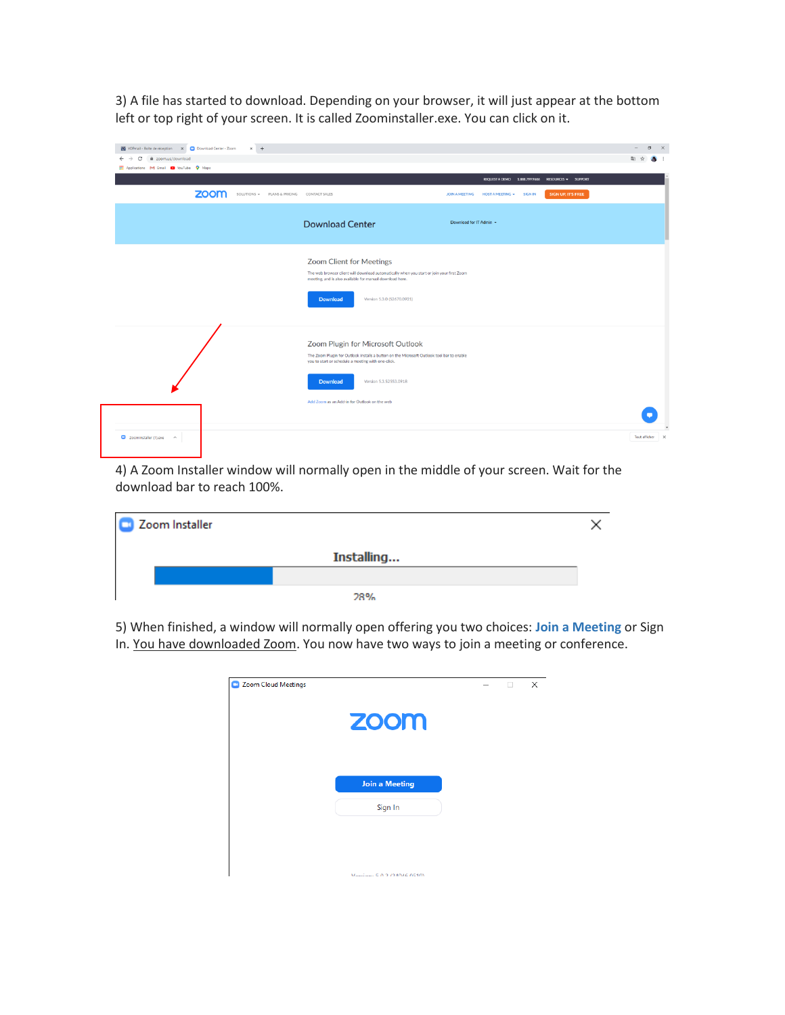3) A file has started to download. Depending on your browser, it will just appear at the bottom left or top right of your screen. It is called Zoominstaller.exe. You can click on it.

| Y YOPmail - Boite de réception X Download Center - Zoom<br>C<br>a zoom.us/download<br>$\leftarrow$<br>$\rightarrow$ | $\times$ +                                |                                                                                                                                                                                                                                    |                         |                                                                              |                           | $\sim$<br>副 ☆   | $\sigma$<br>$\mathsf{X}$ |
|---------------------------------------------------------------------------------------------------------------------|-------------------------------------------|------------------------------------------------------------------------------------------------------------------------------------------------------------------------------------------------------------------------------------|-------------------------|------------------------------------------------------------------------------|---------------------------|-----------------|--------------------------|
| Applications M Gmail @ YouTube Q Maps                                                                               |                                           |                                                                                                                                                                                                                                    |                         |                                                                              |                           |                 |                          |
| zoom                                                                                                                | SOLUTIONS - PLANS & PRICING CONTACT SALES |                                                                                                                                                                                                                                    | JOIN A MEETING          | REQUESTA DEMO 1.888.799.9666 RESOURCES = SUPPORT<br>HOST A MEETING . SIGN IN | <b>SIGN UP, IT'S FREE</b> |                 |                          |
|                                                                                                                     |                                           | <b>Download Center</b>                                                                                                                                                                                                             | Download for IT Admin + |                                                                              |                           |                 |                          |
|                                                                                                                     |                                           | Zoom Client for Meetings<br>The web browser client will download automatically when you start or join your first Zoom<br>meeting, and is also available for manual download here.<br>Version 5.3.0 (52670.0921)<br><b>Download</b> |                         |                                                                              |                           |                 |                          |
|                                                                                                                     |                                           | Zoom Plugin for Microsoft Outlook<br>The Zoom Plugin for Outlook installs a button on the Microsoft Outlook tool bar to enable<br>you to start or schedule a meeting with one-click.<br>Version 5.3.52553.0918<br><b>Download</b>  |                         |                                                                              |                           |                 |                          |
|                                                                                                                     |                                           | Add Zoom as an Add-in for Outlook on the web                                                                                                                                                                                       |                         |                                                                              |                           |                 |                          |
| $\Box$ Zoominstaller (1).exe $\land$                                                                                |                                           |                                                                                                                                                                                                                                    |                         |                                                                              |                           | Tout afficher X |                          |

4) A Zoom Installer window will normally open in the middle of your screen. Wait for the download bar to reach 100%.

| Zoom Installer |            |  |
|----------------|------------|--|
|                | Installing |  |
|                |            |  |
|                | 28%        |  |

5) When finished, a window will normally open offering you two choices: **Join a Meeting** or Sign In. You have downloaded Zoom. You now have two ways to join a meeting or conference.

| Zoom Cloud Meetings |                             |  | m | $\times$ |
|---------------------|-----------------------------|--|---|----------|
|                     | <b>ZOOM</b>                 |  |   |          |
|                     | <b>Join a Meeting</b>       |  |   |          |
|                     | Sign In                     |  |   |          |
|                     |                             |  |   |          |
|                     |                             |  |   |          |
|                     | Version: 5.0.2.(24046.0510) |  |   |          |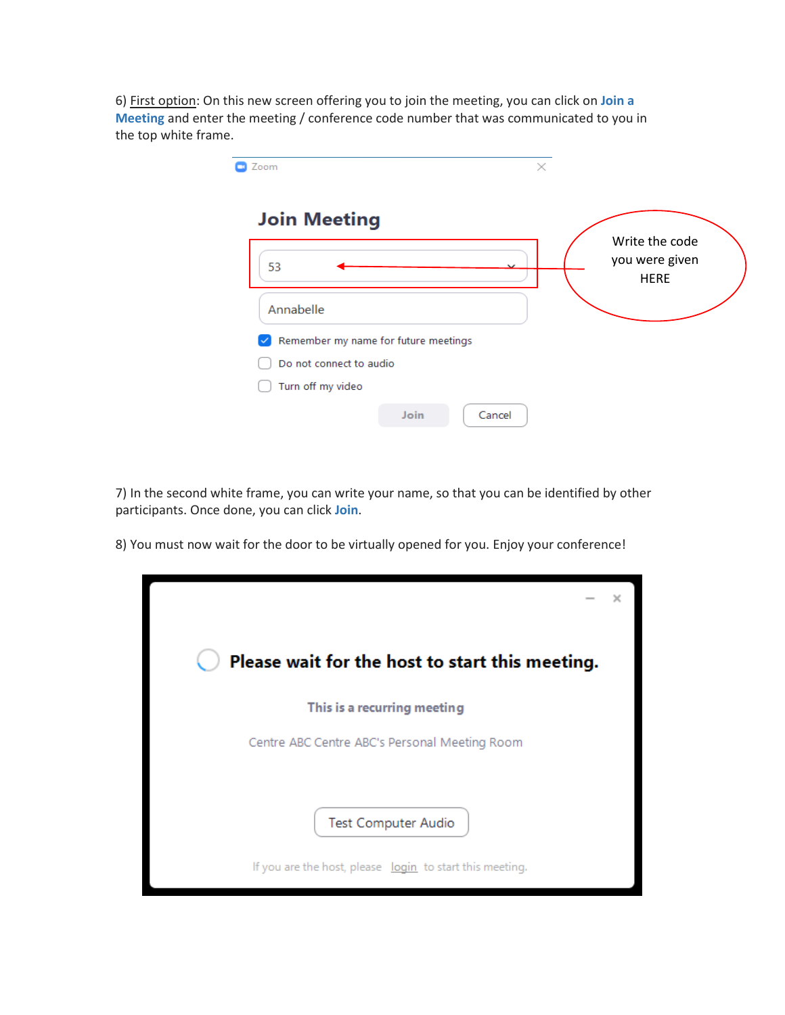6) First option: On this new screen offering you to join the meeting, you can click on **Join a Meeting** and enter the meeting / conference code number that was communicated to you in the top white frame.

| Zoom                                 | $\times$ |                                                 |
|--------------------------------------|----------|-------------------------------------------------|
| <b>Join Meeting</b>                  |          |                                                 |
| 53                                   |          | Write the code<br>you were given<br><b>HERE</b> |
| Annabelle                            |          |                                                 |
| Remember my name for future meetings |          |                                                 |
| Do not connect to audio              |          |                                                 |
| Turn off my video                    |          |                                                 |
| Join<br>Cancel                       |          |                                                 |

7) In the second white frame, you can write your name, so that you can be identified by other participants. Once done, you can click **Join**.

8) You must now wait for the door to be virtually opened for you. Enjoy your conference!

| Please wait for the host to start this meeting.          |  |
|----------------------------------------------------------|--|
| This is a recurring meeting                              |  |
| Centre ABC Centre ABC's Personal Meeting Room            |  |
| <b>Test Computer Audio</b>                               |  |
| If you are the host, please login to start this meeting. |  |